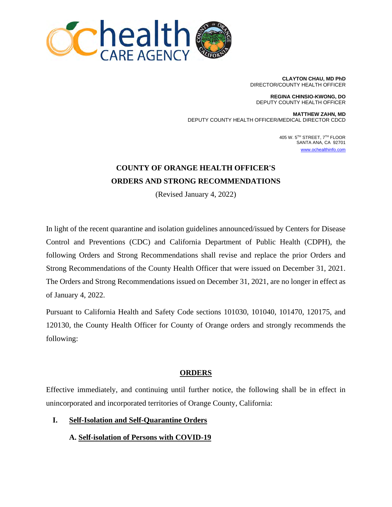

**CLAYTON CHAU, MD PhD** DIRECTOR/COUNTY HEALTH OFFICER

**REGINA CHINSIO-KWONG, DO**  DEPUTY COUNTY HEALTH OFFICER

**MATTHEW ZAHN, MD** DEPUTY COUNTY HEALTH OFFICER/MEDICAL DIRECTOR CDCD

> 405 W. 5TH STREET, 7TH FLOOR SANTA ANA, CA 92701 [www.ochealthinfo.com](http://www.ochealthinfo.com/)

# **COUNTY OF ORANGE HEALTH OFFICER 'S ORDERS AND STRONG RECOMMENDATIONS**

(Revised January 4, 2022)

In light of the recent quarantine and isolation guidelines announced/issued by Centers for Disease Control and Preventions (CDC) and California Department of Public Health (CDPH), the following Orders and Strong Recommendations shall revise and replace the prior Orders and Strong Recommendations of the County Health Officer that were issued on December 31, 2021. The Orders and Strong Recommendations issued on December 31, 2021, are no longer in effect as of January 4, 2022.

Pursuant to California Health and Safety Code sections 101030, 101040, 101470, 120175, and 120130, the County Health Officer for County of Orange orders and strongly recommends the following:

## **ORDERS**

Effective immediately, and continuing until further notice, the following shall be in effect in unincorporated and incorporated territories of Orange County, California:

## **I. Self-Isolation and Self-Quarantine Orders**

## **A. Self-isolation of Persons with COVID-19**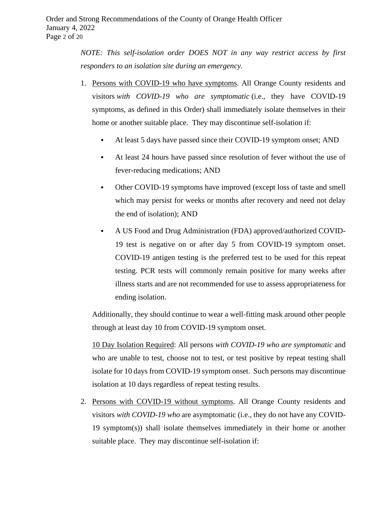*NOTE: This self-isolation order DOES NOT in any way restrict access by first responders to an isolation site during an emergency.*

- 1. Persons with COVID-19 who have symptoms. All Orange County residents and visitors *with COVID-19 who are symptomatic* (i.e., they have COVID-19 symptoms, as defined in this Order) shall immediately isolate themselves in their home or another suitable place. They may discontinue self-isolation if:
	- At least 5 days have passed since their COVID-19 symptom onset; AND
	- At least 24 hours have passed since resolution of fever without the use of fever-reducing medications; AND
	- Other COVID-19 symptoms have improved (except loss of taste and smell which may persist for weeks or months after recovery and need not delay the end of isolation); AND
	- A US Food and Drug Administration (FDA) approved/authorized COVID-19 test is negative on or after day 5 from COVID-19 symptom onset. COVID-19 antigen testing is the preferred test to be used for this repeat testing. PCR tests will commonly remain positive for many weeks after illness starts and are not recommended for use to assess appropriateness for ending isolation.

Additionally, they should continue to wear a well-fitting mask around other people through at least day 10 from COVID-19 symptom onset.

10 Day Isolation Required: All persons *with COVID-19 who are symptomatic* and who are unable to test, choose not to test, or test positive by repeat testing shall isolate for 10 days from COVID-19 symptom onset. Such persons may discontinue isolation at 10 days regardless of repeat testing results.

2. Persons with COVID-19 without symptoms. All Orange County residents and visitors *with COVID-19 who* are asymptomatic (i.e., they do not have any COVID-19 symptom(s)) shall isolate themselves immediately in their home or another suitable place. They may discontinue self-isolation if: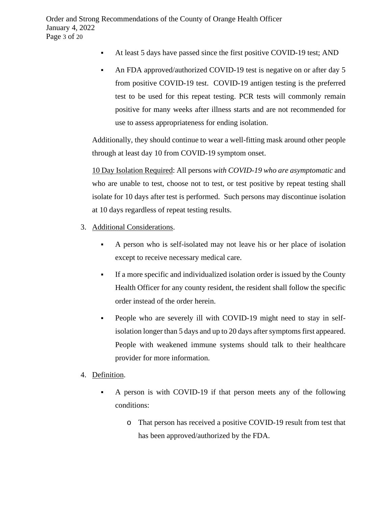- At least 5 days have passed since the first positive COVID-19 test; AND
- An FDA approved/authorized COVID-19 test is negative on or after day 5 from positive COVID-19 test. COVID-19 antigen testing is the preferred test to be used for this repeat testing. PCR tests will commonly remain positive for many weeks after illness starts and are not recommended for use to assess appropriateness for ending isolation.

Additionally, they should continue to wear a well-fitting mask around other people through at least day 10 from COVID-19 symptom onset.

10 Day Isolation Required: All persons *with COVID-19 who are asymptomatic* and who are unable to test, choose not to test, or test positive by repeat testing shall isolate for 10 days after test is performed. Such persons may discontinue isolation at 10 days regardless of repeat testing results.

- 3. Additional Considerations.
	- A person who is self-isolated may not leave his or her place of isolation except to receive necessary medical care.
	- If a more specific and individualized isolation order is issued by the County Health Officer for any county resident, the resident shall follow the specific order instead of the order herein.
	- People who are severely ill with COVID-19 might need to stay in selfisolation longer than 5 days and up to 20 days after symptoms first appeared. People with weakened immune systems should talk to their healthcare provider for more information.
- 4. Definition.
	- A person is with COVID-19 if that person meets any of the following conditions:
		- o That person has received a positive COVID-19 result from test that has been approved/authorized by the FDA.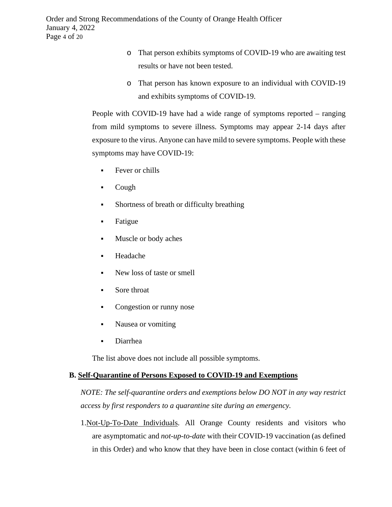- o That person exhibits symptoms of COVID-19 who are awaiting test results or have not been tested.
- o That person has known exposure to an individual with COVID-19 and exhibits symptoms of COVID-19.

People with COVID-19 have had a wide range of symptoms reported – ranging from mild symptoms to severe illness. Symptoms may appear 2-14 days after exposure to the virus. Anyone can have mild to severe symptoms. People with these symptoms may have COVID-19:

- **Fever or chills**
- $\text{-}$  Cough
- Shortness of breath or difficulty breathing
- Fatigue
- **Muscle or body aches**
- Headache
- New loss of taste or smell
- Sore throat
- Congestion or runny nose
- Nausea or vomiting
- Diarrhea

The list above does not include all possible symptoms.

## **B. Self-Quarantine of Persons Exposed to COVID-19 and Exemptions**

*NOTE: The self-quarantine orders and exemptions below DO NOT in any way restrict access by first responders to a quarantine site during an emergency.*

1.Not-Up-To-Date Individuals. All Orange County residents and visitors who are asymptomatic and *not-up-to-date* with their COVID-19 vaccination (as defined in this Order) and who know that they have been in close contact (within 6 feet of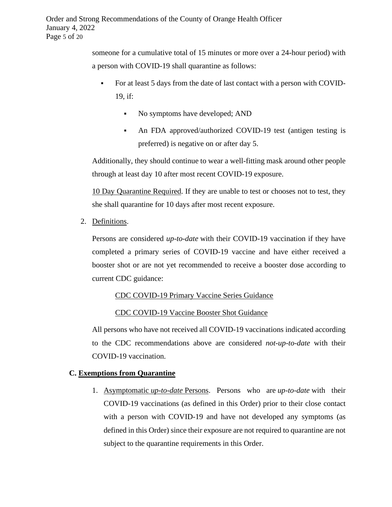someone for a cumulative total of 15 minutes or more over a 24-hour period) with a person with COVID-19 shall quarantine as follows:

- For at least 5 days from the date of last contact with a person with COVID-19, if:
	- No symptoms have developed; AND
	- An FDA approved/authorized COVID-19 test (antigen testing is preferred) is negative on or after day 5.

Additionally, they should continue to wear a well-fitting mask around other people through at least day 10 after most recent COVID-19 exposure.

10 Day Quarantine Required. If they are unable to test or chooses not to test, they she shall quarantine for 10 days after most recent exposure.

2. Definitions.

Persons are considered *up-to-date* with their COVID-19 vaccination if they have completed a primary series of COVID-19 vaccine and have either received a booster shot or are not yet recommended to receive a booster dose according to current CDC guidance:

## CDC [COVID-19 Primary](https://www.cdc.gov/coronavirus/2019-ncov/vaccines/different-vaccines.html) Vaccine Series Guidance

CDC [COVID-19 Vaccine Booster Shot Guidance](https://www.cdc.gov/coronavirus/2019-ncov/vaccines/booster-shot.html)

All persons who have not received all COVID-19 vaccinations indicated according to the CDC recommendations above are considered *not-up-to-date* with their COVID-19 vaccination.

## **C. Exemptions from Quarantine**

1. Asymptomatic *up-to-date* Persons. Persons who are *up-to-date* with their COVID-19 vaccinations (as defined in this Order) prior to their close contact with a person with COVID-19 and have not developed any symptoms (as defined in this Order) since their exposure are not required to quarantine are not subject to the quarantine requirements in this Order.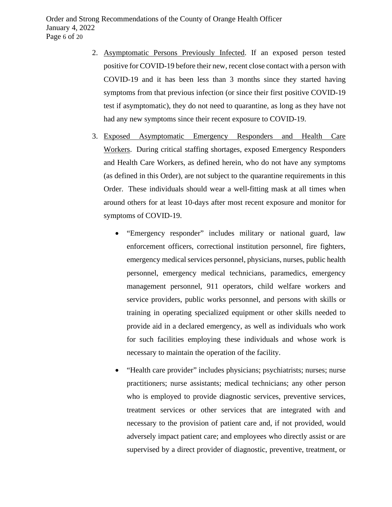- 2. Asymptomatic Persons Previously Infected. If an exposed person tested positive for COVID-19 before their new, recent close contact with a person with COVID-19 and it has been less than 3 months since they started having symptoms from that previous infection (or since their first positive COVID-19 test if asymptomatic), they do not need to quarantine, as long as they have not had any new symptoms since their recent exposure to COVID-19.
- 3. Exposed Asymptomatic Emergency Responders and Health Care Workers. During critical staffing shortages, exposed Emergency Responders and Health Care Workers, as defined herein, who do not have any symptoms (as defined in this Order), are not subject to the quarantine requirements in this Order. These individuals should wear a well-fitting mask at all times when around others for at least 10-days after most recent exposure and monitor for symptoms of COVID-19.
	- "Emergency responder" includes military or national guard, law enforcement officers, correctional institution personnel, fire fighters, emergency medical services personnel, physicians, nurses, public health personnel, emergency medical technicians, paramedics, emergency management personnel, 911 operators, child welfare workers and service providers, public works personnel, and persons with skills or training in operating specialized equipment or other skills needed to provide aid in a declared emergency, as well as individuals who work for such facilities employing these individuals and whose work is necessary to maintain the operation of the facility.
	- "Health care provider" includes physicians; psychiatrists; nurses; nurse practitioners; nurse assistants; medical technicians; any other person who is employed to provide diagnostic services, preventive services, treatment services or other services that are integrated with and necessary to the provision of patient care and, if not provided, would adversely impact patient care; and employees who directly assist or are supervised by a direct provider of diagnostic, preventive, treatment, or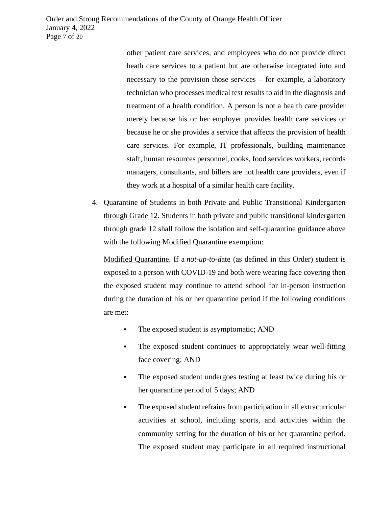other patient care services; and employees who do not provide direct heath care services to a patient but are otherwise integrated into and necessary to the provision those services – for example, a laboratory technician who processes medical test results to aid in the diagnosis and treatment of a health condition. A person is not a health care provider merely because his or her employer provides health care services or because he or she provides a service that affects the provision of health care services. For example, IT professionals, building maintenance staff, human resources personnel, cooks, food services workers, records managers, consultants, and billers are not health care providers, even if they work at a hospital of a similar health care facility.

4. Quarantine of Students in both Private and Public Transitional Kindergarten through Grade 12. Students in both private and public transitional kindergarten through grade 12 shall follow the isolation and self-quarantine guidance above with the following Modified Quarantine exemption:

Modified Quarantine. If a *not-up-to-d*ate (as defined in this Order) student is exposed to a person with COVID-19 and both were wearing face covering then the exposed student may continue to attend school for in-person instruction during the duration of his or her quarantine period if the following conditions are met:

- The exposed student is asymptomatic; AND
- The exposed student continues to appropriately wear well-fitting face covering; AND
- The exposed student undergoes testing at least twice during his or her quarantine period of 5 days; AND
- The exposed student refrains from participation in all extracurricular activities at school, including sports, and activities within the community setting for the duration of his or her quarantine period. The exposed student may participate in all required instructional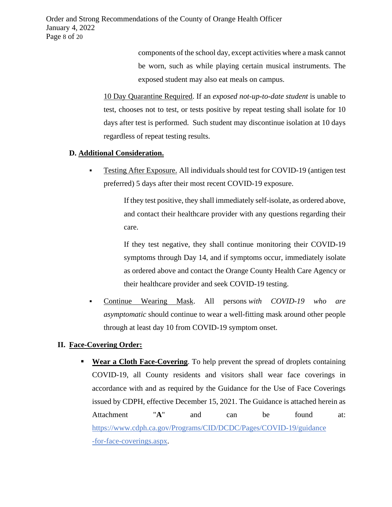Order and Strong Recommendations of the County of Orange Health Officer January 4, 2022 Page 8 of 20

> components of the school day, except activities where a mask cannot be worn, such as while playing certain musical instruments. The exposed student may also eat meals on campus.

10 Day Quarantine Required. If an *exposed not-up-to-date student* is unable to test, chooses not to test, or tests positive by repeat testing shall isolate for 10 days after test is performed. Such student may discontinue isolation at 10 days regardless of repeat testing results.

#### **D. Additional Consideration.**

 Testing After Exposure. All individuals should test for COVID-19 (antigen test preferred) 5 days after their most recent COVID-19 exposure.

> If they test positive, they shall immediately self-isolate, as ordered above, and contact their healthcare provider with any questions regarding their care.

> If they test negative, they shall continue monitoring their COVID-19 symptoms through Day 14, and if symptoms occur, immediately isolate as ordered above and contact the Orange County Health Care Agency or their healthcare provider and seek COVID-19 testing.

 Continue Wearing Mask. All persons *with COVID-19 who are asymptomatic* should continue to wear a well-fitting mask around other people through at least day 10 from COVID-19 symptom onset.

#### **II. Face-Covering Order:**

**Wear a Cloth Face-Covering**. To help prevent the spread of droplets containing COVID-19, all County residents and visitors shall wear face coverings in accordance with and as required by the Guidance for the Use of Face Coverings issued by CDPH, effective December 15, 2021. The Guidance is attached herein as Attachment "A" and can be found at: [https://www.cdph.ca.gov/Programs/CID/DCDC/Pages/COVID-19/guidance](https://www.cdph.ca.gov/Programs/CID/DCDC/Pages/COVID-19/guidance-for-face-coverings.aspx)  [-for-face-coverings.aspx.](https://www.cdph.ca.gov/Programs/CID/DCDC/Pages/COVID-19/guidance-for-face-coverings.aspx)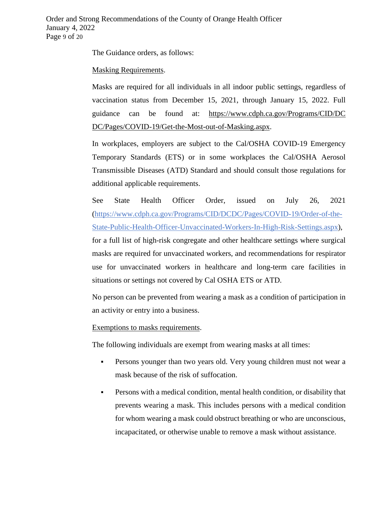The Guidance orders, as follows:

### Masking Requirements.

Masks are required for all individuals in all indoor public settings, regardless of vaccination status from December 15, 2021, through January 15, 2022. Full guidance can be found at: [https://www.cdph.ca.gov/Programs/CID/DC](https://www.cdph.ca.gov/Programs/CID/DCDC/Pages/COVID-19/Get-the-Most-out-of-Masking.aspx)  [DC/Pages/COVID-19/Get-the-Most-out-of-Masking.aspx.](https://www.cdph.ca.gov/Programs/CID/DCDC/Pages/COVID-19/Get-the-Most-out-of-Masking.aspx)

In workplaces, employers are subject to the Cal/OSHA COVID-19 Emergency Temporary Standards (ETS) or in some workplaces the Cal/OSHA Aerosol Transmissible Diseases (ATD) Standard and should consult those regulations for additional applicable requirements.

See State Health Officer Order, issued on July 26, 2021 [\(https://www.cdph.ca.gov/Programs/CID/DCDC/Pages/COVID-19/Order-of-the-](https://www.cdph.ca.gov/Programs/CID/DCDC/Pages/COVID-19/Order-of-the-State-Public-Health-Officer-Unvaccinated-Workers-In-High-Risk-Settings.aspx)[State-Public-Health-Officer-Unvaccinated-Workers-In-High-Risk-Settings.aspx\)](https://www.cdph.ca.gov/Programs/CID/DCDC/Pages/COVID-19/Order-of-the-State-Public-Health-Officer-Unvaccinated-Workers-In-High-Risk-Settings.aspx), for a full list of high-risk congregate and other healthcare settings where surgical

masks are required for unvaccinated workers, and recommendations for respirator use for unvaccinated workers in healthcare and long-term care facilities in situations or settings not covered by Cal OSHA ETS or ATD.

No person can be prevented from wearing a mask as a condition of participation in an activity or entry into a business.

Exemptions to masks requirements.

The following individuals are exempt from wearing masks at all times:

- Persons younger than two years old. Very young children must not wear a mask because of the risk of suffocation.
- Persons with a medical condition, mental health condition, or disability that prevents wearing a mask. This includes persons with a medical condition for whom wearing a mask could obstruct breathing or who are unconscious, incapacitated, or otherwise unable to remove a mask without assistance.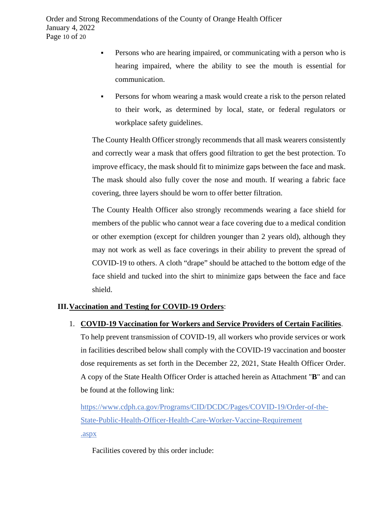- Persons who are hearing impaired, or communicating with a person who is hearing impaired, where the ability to see the mouth is essential for communication.
- Persons for whom wearing a mask would create a risk to the person related to their work, as determined by local, state, or federal regulators or workplace safety guidelines.

The County Health Officer strongly recommends that all mask wearers consistently and correctly wear a mask that offers good filtration to get the best protection. To improve efficacy, the mask should fit to minimize gaps between the face and mask. The mask should also fully cover the nose and mouth. If wearing a fabric face covering, three layers should be worn to offer better filtration.

The County Health Officer also strongly recommends wearing a face shield for members of the public who cannot wear a face covering due to a medical condition or other exemption (except for children younger than 2 years old), although they may not work as well as face coverings in their ability to prevent the spread of COVID-19 to others. A cloth "drape" should be attached to the bottom edge of the face shield and tucked into the shirt to minimize gaps between the face and face shield.

## **III.Vaccination and Testing for COVID-19 Orders**:

#### 1. **COVID-19 Vaccination for Workers and Service Providers of Certain Facilities**.

To help prevent transmission of COVID-19, all workers who provide services or work in facilities described below shall comply with the COVID-19 vaccination and booster dose requirements as set forth in the December 22, 2021, State Health Officer Order. A copy of the State Health Officer Order is attached herein as Attachment "**B**" and can be found at the following link:

[https://www.cdph.ca.gov/Programs/CID/DCDC/Pages/COVID-19/Order-of-the-](https://www.cdph.ca.gov/Programs/CID/DCDC/Pages/COVID-19/Order-of-the-State-Public-Health-Officer-Health-Care-Worker-Vaccine-Requirement.aspx)[State-Public-Health-Officer-Health-Care-Worker-Vaccine-Requirement](https://www.cdph.ca.gov/Programs/CID/DCDC/Pages/COVID-19/Order-of-the-State-Public-Health-Officer-Health-Care-Worker-Vaccine-Requirement.aspx) [.aspx](https://www.cdph.ca.gov/Programs/CID/DCDC/Pages/COVID-19/Order-of-the-State-Public-Health-Officer-Health-Care-Worker-Vaccine-Requirement.aspx)

Facilities covered by this order include: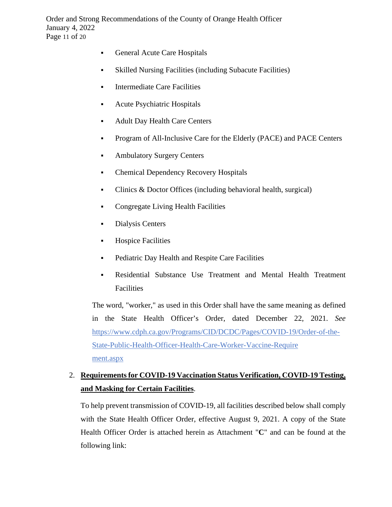Order and Strong Recommendations of the County of Orange Health Officer January 4, 2022 Page 11 of 20

- General Acute Care Hospitals
- Skilled Nursing Facilities (including Subacute Facilities)
- **Intermediate Care Facilities**
- Acute Psychiatric Hospitals
- Adult Day Health Care Centers
- Program of All-Inclusive Care for the Elderly (PACE) and PACE Centers
- **Ambulatory Surgery Centers**
- Chemical Dependency Recovery Hospitals
- Clinics & Doctor Offices (including behavioral health, surgical)
- Congregate Living Health Facilities
- Dialysis Centers
- **Hospice Facilities**
- **•** Pediatric Day Health and Respite Care Facilities
- Residential Substance Use Treatment and Mental Health Treatment Facilities

The word, "worker," as used in this Order shall have the same meaning as defined in the State Health Officer's Order, dated December 22, 2021. *See* [https://www.cdph.ca.gov/Programs/CID/DCDC/Pages/COVID-19/Order-of-the-](https://www.cdph.ca.gov/Programs/CID/DCDC/Pages/COVID-19/Order-of-the-State-Public-Health-Officer-Health-Care-Worker-Vaccine-Requirement.aspx)[State-Public-Health-Officer-Health-Care-Worker-Vaccine-Require](https://www.cdph.ca.gov/Programs/CID/DCDC/Pages/COVID-19/Order-of-the-State-Public-Health-Officer-Health-Care-Worker-Vaccine-Requirement.aspx)  [ment.aspx](https://www.cdph.ca.gov/Programs/CID/DCDC/Pages/COVID-19/Order-of-the-State-Public-Health-Officer-Health-Care-Worker-Vaccine-Requirement.aspx)

## 2. **Requirementsfor COVID-19 Vaccination Status Verification, COVID-19 Testing, and Masking for Certain Facilities**.

To help prevent transmission of COVID-19, all facilities described below shall comply with the State Health Officer Order, effective August 9, 2021. A copy of the State Health Officer Order is attached herein as Attachment "**C**" and can be found at the following link: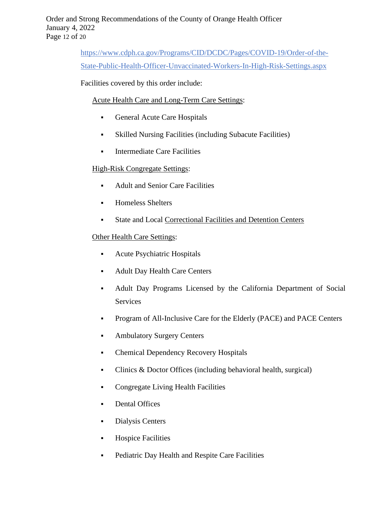[https://www.cdph.ca.gov/Programs/CID/DCDC/Pages/COVID-19/Order-of-the-](https://www.cdph.ca.gov/Programs/CID/DCDC/Pages/COVID-19/Order-of-the-State-Public-Health-Officer-Unvaccinated-Workers-In-High-Risk-Settings.aspx)[State-Public-Health-Officer-Unvaccinated-Workers-In-High-Risk-Settings.aspx](https://www.cdph.ca.gov/Programs/CID/DCDC/Pages/COVID-19/Order-of-the-State-Public-Health-Officer-Unvaccinated-Workers-In-High-Risk-Settings.aspx)

Facilities covered by this order include:

### Acute Health Care and Long-Term Care Settings:

- General Acute Care Hospitals
- Skilled Nursing Facilities (including Subacute Facilities)
- **Intermediate Care Facilities**

## High-Risk Congregate Settings:

- Adult and Senior Care Facilities
- **Homeless Shelters**
- State and Local [Correctional](https://www.cdc.gov/coronavirus/2019-ncov/community/correction-detention/guidance-correctional-detention.html#infection-control) Facilities and Detention Centers

### Other Health Care Settings:

- Acute Psychiatric Hospitals
- Adult Day Health Care Centers
- Adult Day Programs Licensed by the California Department of Social Services
- **•** Program of All-Inclusive Care for the Elderly (PACE) and PACE Centers
- **Ambulatory Surgery Centers**
- Chemical Dependency Recovery Hospitals
- Clinics & Doctor Offices (including behavioral health, surgical)
- Congregate Living Health Facilities
- Dental Offices
- Dialysis Centers
- **Hospice Facilities**
- **•** Pediatric Day Health and Respite Care Facilities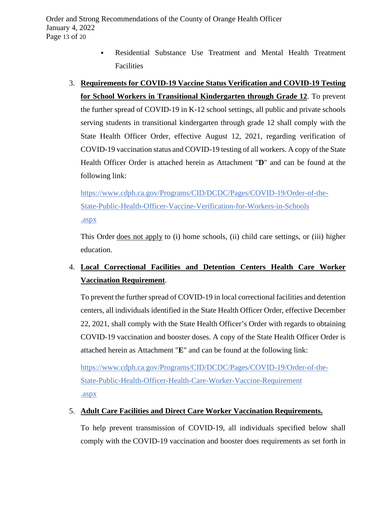- Residential Substance Use Treatment and Mental Health Treatment Facilities
- 3. **Requirements for COVID-19 Vaccine Status Verification and COVID-19 Testing for School Workers in Transitional Kindergarten through Grade 12**. To prevent the further spread of COVID-19 in K-12 school settings, all public and private schools serving students in transitional kindergarten through grade 12 shall comply with the State Health Officer Order, effective August 12, 2021, regarding verification of COVID-19 vaccination status and COVID-19 testing of all workers. A copy of the State Health Officer Order is attached herein as Attachment "**D**" and can be found at the following link:

[https://www.cdph.ca.gov/Programs/CID/DCDC/Pages/COVID-19/Order-of-the-](https://www.cdph.ca.gov/Programs/CID/DCDC/Pages/COVID-19/Order-of-the-State-Public-Health-Officer-Vaccine-Verification-for-Workers-in-Schools.aspx)[State-Public-Health-Officer-Vaccine-Verification-for-Workers-in-Schools](https://www.cdph.ca.gov/Programs/CID/DCDC/Pages/COVID-19/Order-of-the-State-Public-Health-Officer-Vaccine-Verification-for-Workers-in-Schools.aspx)  [.aspx](https://www.cdph.ca.gov/Programs/CID/DCDC/Pages/COVID-19/Order-of-the-State-Public-Health-Officer-Vaccine-Verification-for-Workers-in-Schools.aspx)

This Order does not apply to (i) home schools, (ii) child care settings, or (iii) higher education.

## 4. **Local Correctional Facilities and Detention Centers Health Care Worker Vaccination Requirement**.

To prevent the further spread of COVID-19 in local correctional facilities and detention centers, all individuals identified in the State Health Officer Order, effective December 22, 2021, shall comply with the State Health Officer's Order with regards to obtaining COVID-19 vaccination and booster doses. A copy of the State Health Officer Order is attached herein as Attachment "**E**" and can be found at the following link:

[https://www.cdph.ca.gov/Programs/CID/DCDC/Pages/COVID-19/Order-of-the-](https://www.cdph.ca.gov/Programs/CID/DCDC/Pages/COVID-19/Order-of-the-State-Public-Health-Officer-Health-Care-Worker-Vaccine-Requirement.aspx)[State-Public-Health-Officer-Health-Care-Worker-Vaccine-Requirement](https://www.cdph.ca.gov/Programs/CID/DCDC/Pages/COVID-19/Order-of-the-State-Public-Health-Officer-Health-Care-Worker-Vaccine-Requirement.aspx) [.aspx](https://www.cdph.ca.gov/Programs/CID/DCDC/Pages/COVID-19/Order-of-the-State-Public-Health-Officer-Health-Care-Worker-Vaccine-Requirement.aspx)

## 5. **Adult Care Facilities and Direct Care Worker Vaccination Requirements.**

To help prevent transmission of COVID-19, all individuals specified below shall comply with the COVID-19 vaccination and booster does requirements as set forth in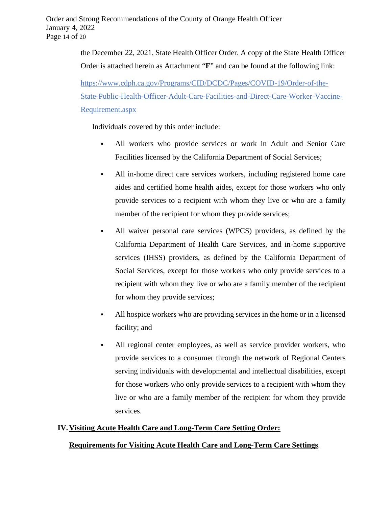Order and Strong Recommendations of the County of Orange Health Officer January 4, 2022 Page 14 of 20

> the December 22, 2021, State Health Officer Order. A copy of the State Health Officer Order is attached herein as Attachment "**F**" and can be found at the following link:

[https://www.cdph.ca.gov/Programs/CID/DCDC/Pages/COVID-19/Order-of-the-](https://www.cdph.ca.gov/Programs/CID/DCDC/Pages/COVID-19/Order-of-the-State-Public-Health-Officer-Adult-Care-Facilities-and-Direct-Care-Worker-Vaccine-Requirement.aspx)[State-Public-Health-Officer-Adult-Care-Facilities-and-Direct-Care-Worker-Vaccine-](https://www.cdph.ca.gov/Programs/CID/DCDC/Pages/COVID-19/Order-of-the-State-Public-Health-Officer-Adult-Care-Facilities-and-Direct-Care-Worker-Vaccine-Requirement.aspx)[Requirement.aspx](https://www.cdph.ca.gov/Programs/CID/DCDC/Pages/COVID-19/Order-of-the-State-Public-Health-Officer-Adult-Care-Facilities-and-Direct-Care-Worker-Vaccine-Requirement.aspx)

Individuals covered by this order include:

- All workers who provide services or work in Adult and Senior Care Facilities licensed by the California Department of Social Services;
- All in-home direct care services workers, including registered home care aides and certified home health aides, except for those workers who only provide services to a recipient with whom they live or who are a family member of the recipient for whom they provide services;
- All waiver personal care services (WPCS) providers, as defined by the California Department of Health Care Services, and in-home supportive services (IHSS) providers, as defined by the California Department of Social Services, except for those workers who only provide services to a recipient with whom they live or who are a family member of the recipient for whom they provide services;
- All hospice workers who are providing services in the home or in a licensed facility; and
- All regional center employees, as well as service provider workers, who provide services to a consumer through the network of Regional Centers serving individuals with developmental and intellectual disabilities, except for those workers who only provide services to a recipient with whom they live or who are a family member of the recipient for whom they provide services.

#### **IV.Visiting Acute Health Care and Long-Term Care Setting Order:**

#### **Requirements for Visiting Acute Health Care and Long-Term Care Settings**.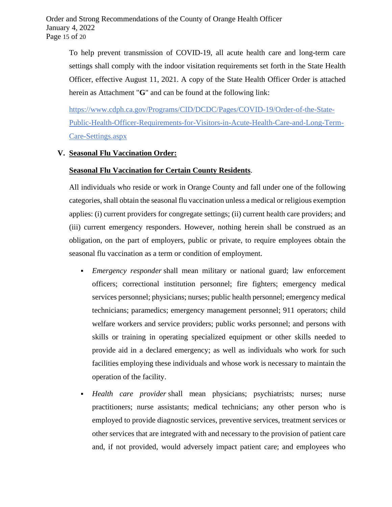To help prevent transmission of COVID-19, all acute health care and long-term care settings shall comply with the indoor visitation requirements set forth in the State Health Officer, effective August 11, 2021. A copy of the State Health Officer Order is attached herein as Attachment "**G**" and can be found at the following link:

[https://www.cdph.ca.gov/Programs/CID/DCDC/Pages/COVID-19/Order-of-the-State-](https://www.cdph.ca.gov/Programs/CID/DCDC/Pages/COVID-19/Order-of-the-State-Public-Health-Officer-Requirements-for-Visitors-in-Acute-Health-Care-and-Long-Term-Care-Settings.aspx)[Public-Health-Officer-Requirements-for-Visitors-in-Acute-Health-Care-and-Long-Term-](https://www.cdph.ca.gov/Programs/CID/DCDC/Pages/COVID-19/Order-of-the-State-Public-Health-Officer-Requirements-for-Visitors-in-Acute-Health-Care-and-Long-Term-Care-Settings.aspx)[Care-Settings.aspx](https://www.cdph.ca.gov/Programs/CID/DCDC/Pages/COVID-19/Order-of-the-State-Public-Health-Officer-Requirements-for-Visitors-in-Acute-Health-Care-and-Long-Term-Care-Settings.aspx)

### **V. Seasonal Flu Vaccination Order:**

#### **Seasonal Flu Vaccination for Certain County Residents**.

All individuals who reside or work in Orange County and fall under one of the following categories, shall obtain the seasonal flu vaccination unless a medical or religious exemption applies: (i) current providers for congregate settings; (ii) current health care providers; and (iii) current emergency responders. However, nothing herein shall be construed as an obligation, on the part of employers, public or private, to require employees obtain the seasonal flu vaccination as a term or condition of employment.

- *Emergency responder* shall mean military or national guard; law enforcement officers; correctional institution personnel; fire fighters; emergency medical services personnel; physicians; nurses; public health personnel; emergency medical technicians; paramedics; emergency management personnel; 911 operators; child welfare workers and service providers; public works personnel; and persons with skills or training in operating specialized equipment or other skills needed to provide aid in a declared emergency; as well as individuals who work for such facilities employing these individuals and whose work is necessary to maintain the operation of the facility.
- *Health care provider* shall mean physicians; psychiatrists; nurses; nurse practitioners; nurse assistants; medical technicians; any other person who is employed to provide diagnostic services, preventive services, treatment services or other services that are integrated with and necessary to the provision of patient care and, if not provided, would adversely impact patient care; and employees who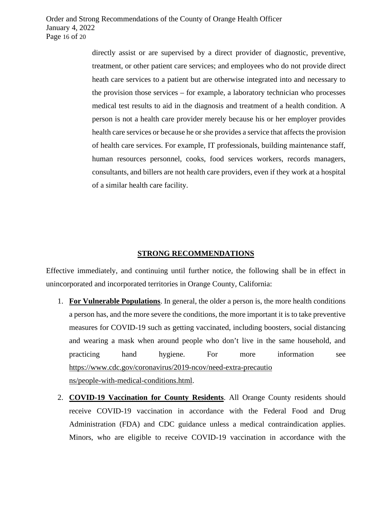directly assist or are supervised by a direct provider of diagnostic, preventive, treatment, or other patient care services; and employees who do not provide direct heath care services to a patient but are otherwise integrated into and necessary to the provision those services – for example, a laboratory technician who processes medical test results to aid in the diagnosis and treatment of a health condition. A person is not a health care provider merely because his or her employer provides health care services or because he or she provides a service that affects the provision of health care services. For example, IT professionals, building maintenance staff, human resources personnel, cooks, food services workers, records managers, consultants, and billers are not health care providers, even if they work at a hospital of a similar health care facility.

#### **STRONG RECOMMENDATIONS**

Effective immediately, and continuing until further notice, the following shall be in effect in unincorporated and incorporated territories in Orange County, California:

- 1. **For Vulnerable Populations**. In general, the older a person is, the more health conditions a person has, and the more severe the conditions, the more important it is to take preventive measures for COVID-19 such as getting vaccinated, including boosters, social distancing and wearing a mask when around people who don't live in the same household, and practicing hand hygiene. For more information see [https://www.cdc.gov/coronavirus/2019-ncov/need-extra-precautio](https://www.cdc.gov/coronavirus/2019-ncov/need-extra-precautions/people-with-medical-conditions.html) [ns/people-with-medical-conditions.html.](https://www.cdc.gov/coronavirus/2019-ncov/need-extra-precautions/people-with-medical-conditions.html)
- 2. **COVID-19 Vaccination for County Residents**. All Orange County residents should receive COVID-19 vaccination in accordance with the Federal Food and Drug Administration (FDA) and CDC guidance unless a medical contraindication applies. Minors, who are eligible to receive COVID-19 vaccination in accordance with the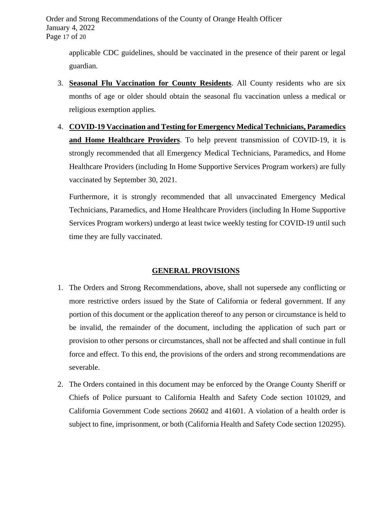Order and Strong Recommendations of the County of Orange Health Officer January 4, 2022 Page 17 of 20

applicable CDC guidelines, should be vaccinated in the presence of their parent or legal guardian.

- 3. **Seasonal Flu Vaccination for County Residents**. All County residents who are six months of age or older should obtain the seasonal flu vaccination unless a medical or religious exemption applies.
- 4. **COVID-19 Vaccination and Testing for Emergency Medical Technicians, Paramedics and Home Healthcare Providers**. To help prevent transmission of COVID-19, it is strongly recommended that all Emergency Medical Technicians, Paramedics, and Home Healthcare Providers (including In Home Supportive Services Program workers) are fully vaccinated by September 30, 2021.

Furthermore, it is strongly recommended that all unvaccinated Emergency Medical Technicians, Paramedics, and Home Healthcare Providers (including In Home Supportive Services Program workers) undergo at least twice weekly testing for COVID-19 until such time they are fully vaccinated.

#### **GENERAL PROVISIONS**

- 1. The Orders and Strong Recommendations, above, shall not supersede any conflicting or more restrictive orders issued by the State of California or federal government. If any portion of this document or the application thereof to any person or circumstance is held to be invalid, the remainder of the document, including the application of such part or provision to other persons or circumstances, shall not be affected and shall continue in full force and effect. To this end, the provisions of the orders and strong recommendations are severable.
- 2. The Orders contained in this document may be enforced by the Orange County Sheriff or Chiefs of Police pursuant to California Health and Safety Code section 101029, and California Government Code sections 26602 and 41601. A violation of a health order is subject to fine, imprisonment, or both (California Health and Safety Code section 120295).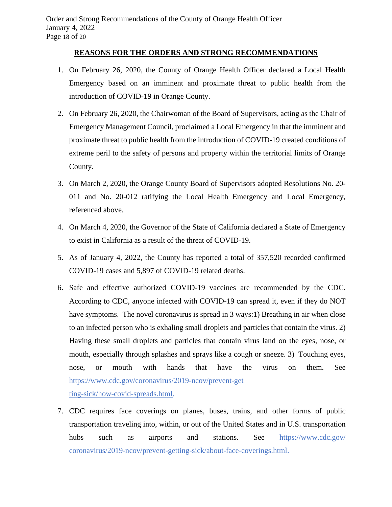### **REASONS FOR THE ORDERS AND STRONG RECOMMENDATIONS**

- 1. On February 26, 2020, the County of Orange Health Officer declared a Local Health Emergency based on an imminent and proximate threat to public health from the introduction of COVID-19 in Orange County.
- 2. On February 26, 2020, the Chairwoman of the Board of Supervisors, acting as the Chair of Emergency Management Council, proclaimed a Local Emergency in that the imminent and proximate threat to public health from the introduction of COVID-19 created conditions of extreme peril to the safety of persons and property within the territorial limits of Orange County.
- 3. On March 2, 2020, the Orange County Board of Supervisors adopted Resolutions No. 20- 011 and No. 20-012 ratifying the Local Health Emergency and Local Emergency, referenced above.
- 4. On March 4, 2020, the Governor of the State of California declared a State of Emergency to exist in California as a result of the threat of COVID-19.
- 5. As of January 4, 2022, the County has reported a total of 357,520 recorded confirmed COVID-19 cases and 5,897 of COVID-19 related deaths.
- 6. Safe and effective authorized COVID-19 vaccines are recommended by the CDC. According to CDC, anyone infected with COVID-19 can spread it, even if they do NOT have symptoms. The novel coronavirus is spread in 3 ways: 1) Breathing in air when close to an infected person who is exhaling small droplets and particles that contain the virus. 2) Having these small droplets and particles that contain virus land on the eyes, nose, or mouth, especially through splashes and sprays like a cough or sneeze. 3) Touching eyes, nose, or mouth with hands that have the virus on them. See [https://www.cdc.gov/coronavirus/2019-ncov/prevent-get](https://www.cdc.gov/coronavirus/2019-ncov/prevent-getting-sick/how-covid-spreads.html) [ting-sick/how-covid-spreads.html.](https://www.cdc.gov/coronavirus/2019-ncov/prevent-getting-sick/how-covid-spreads.html)
- 7. CDC requires face coverings on planes, buses, trains, and other forms of public transportation traveling into, within, or out of the United States and in U.S. transportation hubs such as airports and stations. See https://www.cdc.gov/ [coronavirus/2019-ncov/prevent-getting-sick/about-face-coverings.html.](https://www.cdc.gov/coronavirus/2019-ncov/prevent-getting-sick/about-face-coverings.html)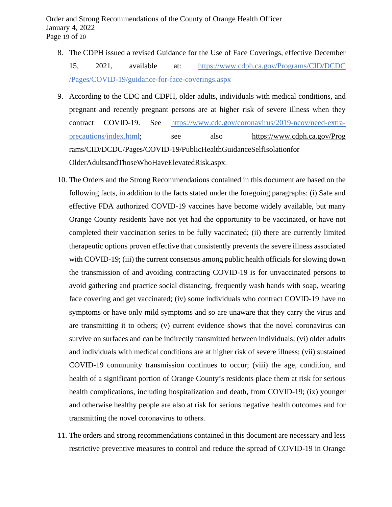- 8. The CDPH issued a revised Guidance for the Use of Face Coverings, effective December 15, 2021, available at: [https://www.cdph.ca.gov/Programs/CID/DCDC](https://www.cdph.ca.gov/Programs/CID/DCDC/Pages/COVID-19/guidance-for-face-coverings.aspx)  [/Pages/COVID-19/guidance-for-face-coverings.aspx](https://www.cdph.ca.gov/Programs/CID/DCDC/Pages/COVID-19/guidance-for-face-coverings.aspx)
- 9. According to the CDC and CDPH, older adults, individuals with medical conditions, and pregnant and recently pregnant persons are at higher risk of severe illness when they contract COVID-19. See [https://www.cdc.gov/coronavirus/2019-ncov/need-extra](https://www.cdc.gov/coronavirus/2019-ncov/need-extra-precautions/index.html)[precautions/index.html;](https://www.cdc.gov/coronavirus/2019-ncov/need-extra-precautions/index.html) see also [https://www.cdph.ca.gov/Prog](https://www.cdph.ca.gov/Programs/CID/DCDC/Pages/COVID-19/PublicHealthGuidanceSelfIsolationforOlderAdultsandThoseWhoHaveElevatedRisk.aspx)  [rams/CID/DCDC/Pages/COVID-19/PublicHealthGuidanceSelfIsolationfor](https://www.cdph.ca.gov/Programs/CID/DCDC/Pages/COVID-19/PublicHealthGuidanceSelfIsolationforOlderAdultsandThoseWhoHaveElevatedRisk.aspx)  [OlderAdultsandThoseWhoHaveElevatedRisk.aspx.](https://www.cdph.ca.gov/Programs/CID/DCDC/Pages/COVID-19/PublicHealthGuidanceSelfIsolationforOlderAdultsandThoseWhoHaveElevatedRisk.aspx)
- 10. The Orders and the Strong Recommendations contained in this document are based on the following facts, in addition to the facts stated under the foregoing paragraphs: (i) Safe and effective FDA authorized COVID-19 vaccines have become widely available, but many Orange County residents have not yet had the opportunity to be vaccinated, or have not completed their vaccination series to be fully vaccinated; (ii) there are currently limited therapeutic options proven effective that consistently prevents the severe illness associated with COVID-19; (iii) the current consensus among public health officials for slowing down the transmission of and avoiding contracting COVID-19 is for unvaccinated persons to avoid gathering and practice social distancing, frequently wash hands with soap, wearing face covering and get vaccinated; (iv) some individuals who contract COVID-19 have no symptoms or have only mild symptoms and so are unaware that they carry the virus and are transmitting it to others; (v) current evidence shows that the novel coronavirus can survive on surfaces and can be indirectly transmitted between individuals; (vi) older adults and individuals with medical conditions are at higher risk of severe illness; (vii) sustained COVID-19 community transmission continues to occur; (viii) the age, condition, and health of a significant portion of Orange County's residents place them at risk for serious health complications, including hospitalization and death, from COVID-19; (ix) younger and otherwise healthy people are also at risk for serious negative health outcomes and for transmitting the novel coronavirus to others.
- 11. The orders and strong recommendations contained in this document are necessary and less restrictive preventive measures to control and reduce the spread of COVID-19 in Orange